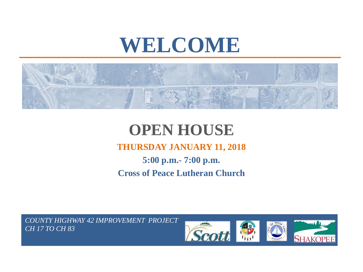# **WELCOME**



## **OPEN HOUSE THURSDAY JANUARY 11, 2018 5:00 p.m.- 7:00 p.m. Cross of Peace Lutheran Church**

*COUNTY HIGHWAY 42 IMPROVEMENT PROJECT CH 17 TO CH 83*

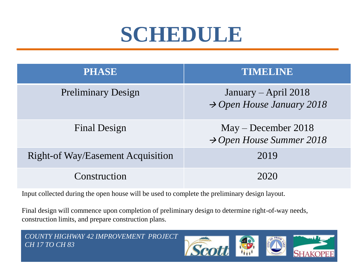# **SCHEDULE**

| <b>PHASE</b>                             | TIMBLINE                                                      |
|------------------------------------------|---------------------------------------------------------------|
| <b>Preliminary Design</b>                | January – April 2018<br>$\rightarrow$ Open House January 2018 |
| <b>Final Design</b>                      | $May - December 2018$<br>$\rightarrow$ Open House Summer 2018 |
| <b>Right-of Way/Easement Acquisition</b> | 2019                                                          |
| Construction                             | 2020                                                          |

Input collected during the open house will be used to complete the preliminary design layout.

Final design will commence upon completion of preliminary design to determine right-of-way needs, construction limits, and prepare construction plans.

*COUNTY HIGHWAY 42 IMPROVEMENT PROJECT CH 17 TO CH 83*